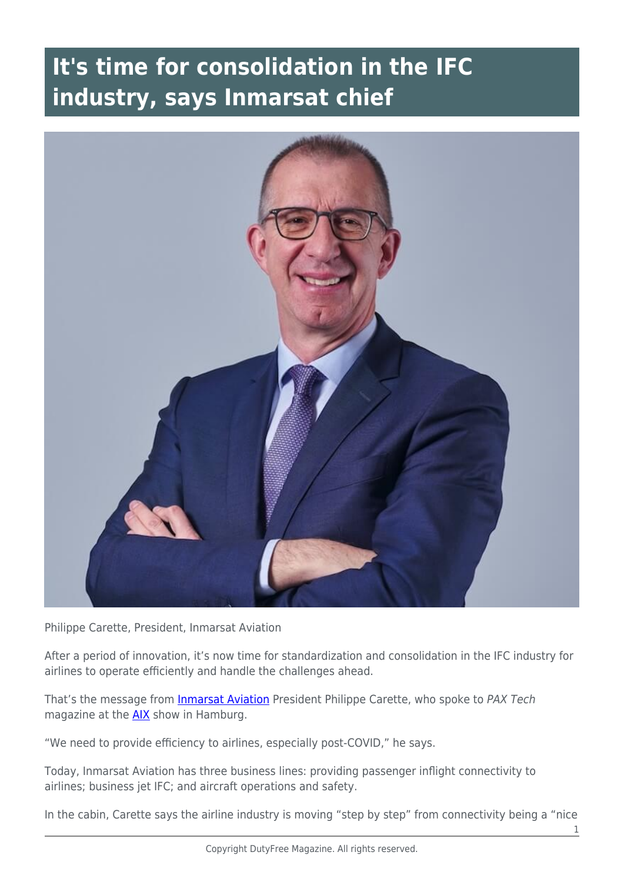## **It's time for consolidation in the IFC industry, says Inmarsat chief**



Philippe Carette, President, Inmarsat Aviation

After a period of innovation, it's now time for standardization and consolidation in the IFC industry for airlines to operate efficiently and handle the challenges ahead.

That's the message from *[Inmarsat Aviation](https://www.inmarsat.com/en/index.html)* President Philippe Carette, who spoke to PAX Tech magazine at the [AIX](https://www.aircraftinteriorsexpo.com/) show in Hamburg.

"We need to provide efficiency to airlines, especially post-COVID," he says.

Today, Inmarsat Aviation has three business lines: providing passenger inflight connectivity to airlines; business jet IFC; and aircraft operations and safety.

In the cabin, Carette says the airline industry is moving "step by step" from connectivity being a "nice